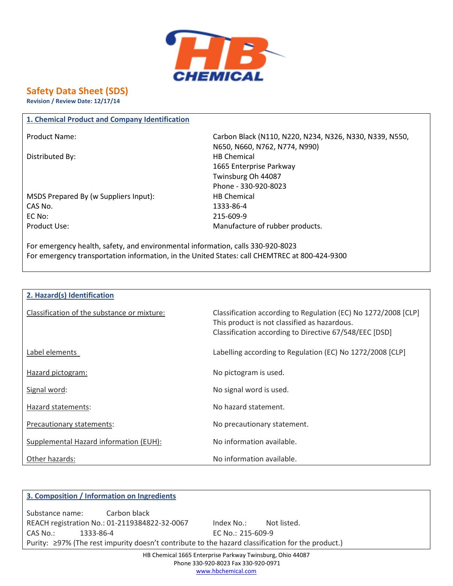

# **Safety Data Sheet (SDS)**

**Revision / Review Date: 12/17/14**

### **1. Chemical Product and Company Identification**

Distributed By: Notice and the Material HB Chemical HB Chemical

MSDS Prepared By (w Suppliers Input): HB Chemical CAS No. 1333-86-4 EC No: 215-609-9 Product Use: The Manufacture of rubber products.

Product Name: Carbon Black (N110, N220, N234, N326, N330, N339, N550, N650, N660, N762, N774, N990) 1665 Enterprise Parkway Twinsburg Oh 44087 Phone - 330-920-8023

For emergency health, safety, and environmental information, calls 330-920-8023 For emergency transportation information, in the United States: call CHEMTREC at 800-424-9300

| 2. Hazard(s) Identification                 |                                                                                                                                                                          |  |  |
|---------------------------------------------|--------------------------------------------------------------------------------------------------------------------------------------------------------------------------|--|--|
| Classification of the substance or mixture: | Classification according to Regulation (EC) No 1272/2008 [CLP]<br>This product is not classified as hazardous.<br>Classification according to Directive 67/548/EEC [DSD] |  |  |
| Label elements                              | Labelling according to Regulation (EC) No 1272/2008 [CLP]                                                                                                                |  |  |
| Hazard pictogram:                           | No pictogram is used.                                                                                                                                                    |  |  |
| Signal word:                                | No signal word is used.                                                                                                                                                  |  |  |
| Hazard statements:                          | No hazard statement.                                                                                                                                                     |  |  |
| Precautionary statements:                   | No precautionary statement.                                                                                                                                              |  |  |
| Supplemental Hazard information (EUH):      | No information available.                                                                                                                                                |  |  |
| Other hazards:                              | No information available.                                                                                                                                                |  |  |

# **3. Composition / Information on Ingredients** Substance name: Carbon black REACH registration No.: 01-2119384822-32-0067 Index No.: Not listed. CAS No.: 1333-86-4 EC No.: 215-609-9 Purity: ≥97% (The rest impurity doesn't contribute to the hazard classification for the product.)

HB Chemical 1665 Enterprise Parkway Twinsburg, Ohio 44087 Phone 330-920-8023 Fax 330-920-0971 www.hbchemical.com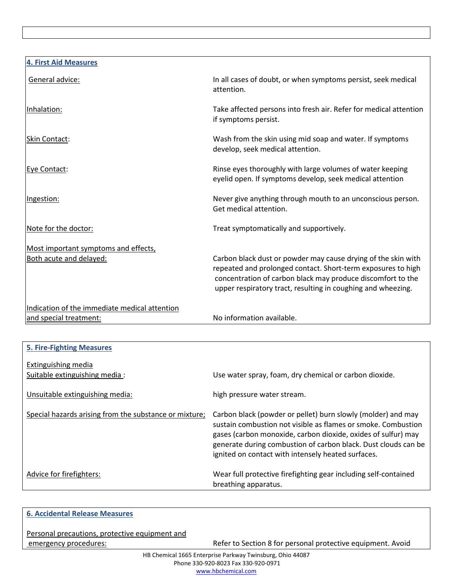| <b>4. First Aid Measures</b><br>In all cases of doubt, or when symptoms persist, seek medical<br>General advice:<br>attention.<br>Inhalation:<br>Take affected persons into fresh air. Refer for medical attention<br>if symptoms persist.<br>Wash from the skin using mid soap and water. If symptoms<br>Skin Contact:<br>develop, seek medical attention.<br>Rinse eyes thoroughly with large volumes of water keeping<br>Eye Contact:<br>eyelid open. If symptoms develop, seek medical attention<br>Never give anything through mouth to an unconscious person.<br>Ingestion:<br>Get medical attention.<br>Note for the doctor:<br>Treat symptomatically and supportively.<br>Most important symptoms and effects,<br>Both acute and delayed:<br>Carbon black dust or powder may cause drying of the skin with<br>repeated and prolonged contact. Short-term exposures to high<br>concentration of carbon black may produce discomfort to the<br>upper respiratory tract, resulting in coughing and wheezing.<br>Indication of the immediate medical attention<br>No information available.<br>and special treatment: |  |
|---------------------------------------------------------------------------------------------------------------------------------------------------------------------------------------------------------------------------------------------------------------------------------------------------------------------------------------------------------------------------------------------------------------------------------------------------------------------------------------------------------------------------------------------------------------------------------------------------------------------------------------------------------------------------------------------------------------------------------------------------------------------------------------------------------------------------------------------------------------------------------------------------------------------------------------------------------------------------------------------------------------------------------------------------------------------------------------------------------------------------|--|
|                                                                                                                                                                                                                                                                                                                                                                                                                                                                                                                                                                                                                                                                                                                                                                                                                                                                                                                                                                                                                                                                                                                           |  |
|                                                                                                                                                                                                                                                                                                                                                                                                                                                                                                                                                                                                                                                                                                                                                                                                                                                                                                                                                                                                                                                                                                                           |  |
|                                                                                                                                                                                                                                                                                                                                                                                                                                                                                                                                                                                                                                                                                                                                                                                                                                                                                                                                                                                                                                                                                                                           |  |
|                                                                                                                                                                                                                                                                                                                                                                                                                                                                                                                                                                                                                                                                                                                                                                                                                                                                                                                                                                                                                                                                                                                           |  |
|                                                                                                                                                                                                                                                                                                                                                                                                                                                                                                                                                                                                                                                                                                                                                                                                                                                                                                                                                                                                                                                                                                                           |  |
|                                                                                                                                                                                                                                                                                                                                                                                                                                                                                                                                                                                                                                                                                                                                                                                                                                                                                                                                                                                                                                                                                                                           |  |
|                                                                                                                                                                                                                                                                                                                                                                                                                                                                                                                                                                                                                                                                                                                                                                                                                                                                                                                                                                                                                                                                                                                           |  |
|                                                                                                                                                                                                                                                                                                                                                                                                                                                                                                                                                                                                                                                                                                                                                                                                                                                                                                                                                                                                                                                                                                                           |  |
|                                                                                                                                                                                                                                                                                                                                                                                                                                                                                                                                                                                                                                                                                                                                                                                                                                                                                                                                                                                                                                                                                                                           |  |
|                                                                                                                                                                                                                                                                                                                                                                                                                                                                                                                                                                                                                                                                                                                                                                                                                                                                                                                                                                                                                                                                                                                           |  |

| <b>5. Fire-Fighting Measures</b>                       |                                                                                                                                                                                                                                                                                                                        |
|--------------------------------------------------------|------------------------------------------------------------------------------------------------------------------------------------------------------------------------------------------------------------------------------------------------------------------------------------------------------------------------|
| Extinguishing media<br>Suitable extinguishing media:   | Use water spray, foam, dry chemical or carbon dioxide.                                                                                                                                                                                                                                                                 |
| Unsuitable extinguishing media:                        | high pressure water stream.                                                                                                                                                                                                                                                                                            |
| Special hazards arising from the substance or mixture; | Carbon black (powder or pellet) burn slowly (molder) and may<br>sustain combustion not visible as flames or smoke. Combustion<br>gases (carbon monoxide, carbon dioxide, oxides of sulfur) may<br>generate during combustion of carbon black. Dust clouds can be<br>ignited on contact with intensely heated surfaces. |
| Advice for firefighters:                               | Wear full protective firefighting gear including self-contained<br>breathing apparatus.                                                                                                                                                                                                                                |

## **6. Accidental Release Measures**

Personal precautions, protective equipment and

emergency procedures: emergency procedures: Refer to Section 8 for personal protective equipment. Avoid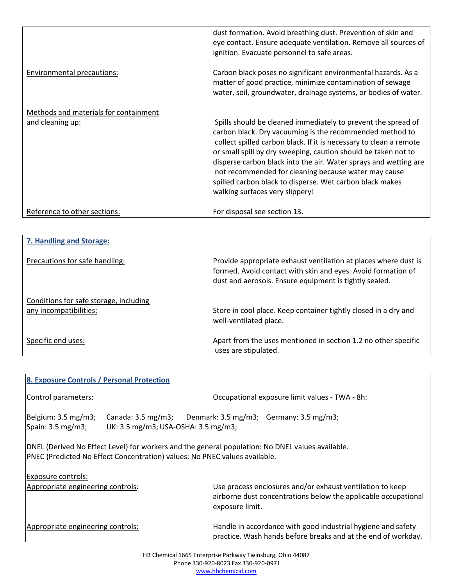|                                       | dust formation. Avoid breathing dust. Prevention of skin and<br>eye contact. Ensure adequate ventilation. Remove all sources of<br>ignition. Evacuate personnel to safe areas.                                                                                                                                                                                                                                                                                                               |
|---------------------------------------|----------------------------------------------------------------------------------------------------------------------------------------------------------------------------------------------------------------------------------------------------------------------------------------------------------------------------------------------------------------------------------------------------------------------------------------------------------------------------------------------|
| Environmental precautions:            | Carbon black poses no significant environmental hazards. As a<br>matter of good practice, minimize contamination of sewage<br>water, soil, groundwater, drainage systems, or bodies of water.                                                                                                                                                                                                                                                                                                |
| Methods and materials for containment |                                                                                                                                                                                                                                                                                                                                                                                                                                                                                              |
| and cleaning up:                      | Spills should be cleaned immediately to prevent the spread of<br>carbon black. Dry vacuuming is the recommended method to<br>collect spilled carbon black. If it is necessary to clean a remote<br>or small spill by dry sweeping, caution should be taken not to<br>disperse carbon black into the air. Water sprays and wetting are<br>not recommended for cleaning because water may cause<br>spilled carbon black to disperse. Wet carbon black makes<br>walking surfaces very slippery! |
| Reference to other sections:          | For disposal see section 13.                                                                                                                                                                                                                                                                                                                                                                                                                                                                 |

| 7. Handling and Storage:                                         |                                                                                                                                                                                           |  |  |
|------------------------------------------------------------------|-------------------------------------------------------------------------------------------------------------------------------------------------------------------------------------------|--|--|
| Precautions for safe handling:                                   | Provide appropriate exhaust ventilation at places where dust is<br>formed. Avoid contact with skin and eyes. Avoid formation of<br>dust and aerosols. Ensure equipment is tightly sealed. |  |  |
| Conditions for safe storage, including<br>any incompatibilities: | Store in cool place. Keep container tightly closed in a dry and<br>well-ventilated place.                                                                                                 |  |  |
| Specific end uses:                                               | Apart from the uses mentioned in section 1.2 no other specific<br>uses are stipulated.                                                                                                    |  |  |

| 8. Exposure Controls / Personal Protection                                                                                                                                     |                                                                                                                                    |                                                                                                                                                |  |
|--------------------------------------------------------------------------------------------------------------------------------------------------------------------------------|------------------------------------------------------------------------------------------------------------------------------------|------------------------------------------------------------------------------------------------------------------------------------------------|--|
| Control parameters:                                                                                                                                                            | Occupational exposure limit values - TWA - 8h:                                                                                     |                                                                                                                                                |  |
| Belgium: 3.5 mg/m3;<br>Spain: 3.5 mg/m3;                                                                                                                                       | Canada: $3.5 \text{ mg/m3}$ ; Denmark: $3.5 \text{ mg/m3}$ ; Germany: $3.5 \text{ mg/m3}$ ;<br>UK: 3.5 mg/m3; USA-OSHA: 3.5 mg/m3; |                                                                                                                                                |  |
| DNEL (Derived No Effect Level) for workers and the general population: No DNEL values available.<br>PNEC (Predicted No Effect Concentration) values: No PNEC values available. |                                                                                                                                    |                                                                                                                                                |  |
| Exposure controls:<br>Appropriate engineering controls:                                                                                                                        |                                                                                                                                    | Use process enclosures and/or exhaust ventilation to keep<br>airborne dust concentrations below the applicable occupational<br>exposure limit. |  |
| Appropriate engineering controls:                                                                                                                                              |                                                                                                                                    | Handle in accordance with good industrial hygiene and safety<br>practice. Wash hands before breaks and at the end of workday.                  |  |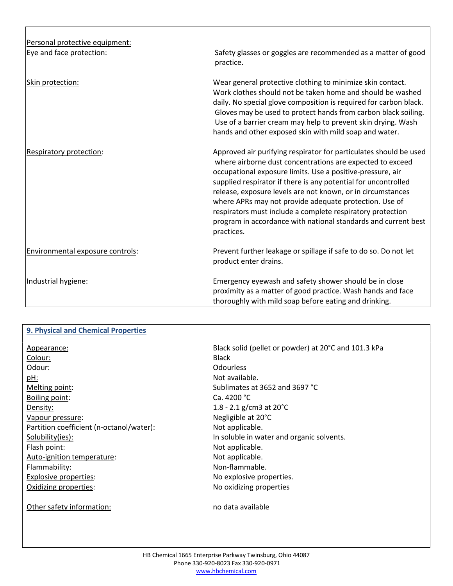| Personal protective equipment:   |                                                                                                                                                                                                                                                                                                                                                                                                                                                                                                                                       |
|----------------------------------|---------------------------------------------------------------------------------------------------------------------------------------------------------------------------------------------------------------------------------------------------------------------------------------------------------------------------------------------------------------------------------------------------------------------------------------------------------------------------------------------------------------------------------------|
| Eye and face protection:         | Safety glasses or goggles are recommended as a matter of good<br>practice.                                                                                                                                                                                                                                                                                                                                                                                                                                                            |
| Skin protection:                 | Wear general protective clothing to minimize skin contact.<br>Work clothes should not be taken home and should be washed<br>daily. No special glove composition is required for carbon black.<br>Gloves may be used to protect hands from carbon black soiling.<br>Use of a barrier cream may help to prevent skin drying. Wash<br>hands and other exposed skin with mild soap and water.                                                                                                                                             |
| Respiratory protection:          | Approved air purifying respirator for particulates should be used<br>where airborne dust concentrations are expected to exceed<br>occupational exposure limits. Use a positive-pressure, air<br>supplied respirator if there is any potential for uncontrolled<br>release, exposure levels are not known, or in circumstances<br>where APRs may not provide adequate protection. Use of<br>respirators must include a complete respiratory protection<br>program in accordance with national standards and current best<br>practices. |
| Environmental exposure controls: | Prevent further leakage or spillage if safe to do so. Do not let<br>product enter drains.                                                                                                                                                                                                                                                                                                                                                                                                                                             |
| Industrial hygiene:              | Emergency eyewash and safety shower should be in close<br>proximity as a matter of good practice. Wash hands and face<br>thoroughly with mild soap before eating and drinking.                                                                                                                                                                                                                                                                                                                                                        |

### **9. Physical and Chemical Properties**

| Appearance:                              | Black        |
|------------------------------------------|--------------|
| Colour:                                  | <b>Black</b> |
| Odour:                                   | Odou         |
| pH:                                      | Not a        |
| Melting point:                           | Sublin       |
| Boiling point:                           | Ca. 4.       |
| Density:                                 | $1.8 - 1$    |
| Vapour pressure:                         | Negli        |
| Partition coefficient (n-octanol/water): | Not a        |
| Solubility(ies):                         | In sol       |
| Flash point:                             | Not a        |
| Auto-ignition temperature:               | Not a        |
| Flammability:                            | Non-i        |
| <b>Explosive properties:</b>             | No ex        |
| Oxidizing properties:                    | No o         |
|                                          |              |

Other safety information: no data available

Black solid (pellet or powder) at 20°C and 101.3 kPa Odourless Not available. Sublimates at 3652 and 3697 °C Ca. 4200 °C 1.8 - 2.1 g/cm3 at  $20^{\circ}$ C Negligible at 20°C Not applicable. In soluble in water and organic solvents. Not applicable. Not applicable. Non-flammable. No explosive properties. No oxidizing properties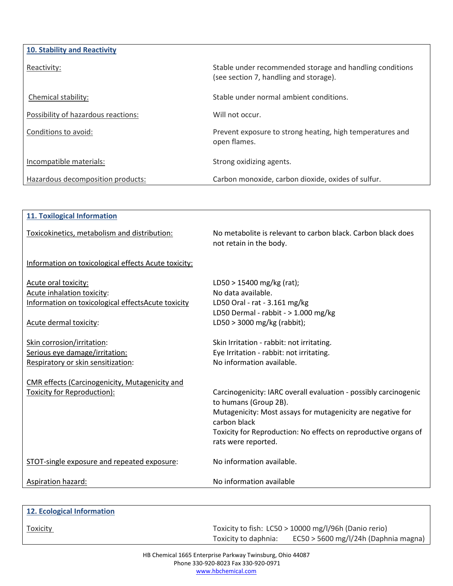| 10. Stability and Reactivity        |                                                                                                    |  |  |
|-------------------------------------|----------------------------------------------------------------------------------------------------|--|--|
| Reactivity:                         | Stable under recommended storage and handling conditions<br>(see section 7, handling and storage). |  |  |
| Chemical stability:                 | Stable under normal ambient conditions.                                                            |  |  |
| Possibility of hazardous reactions: | Will not occur.                                                                                    |  |  |
| Conditions to avoid:                | Prevent exposure to strong heating, high temperatures and<br>open flames.                          |  |  |
| Incompatible materials:             | Strong oxidizing agents.                                                                           |  |  |
| Hazardous decomposition products:   | Carbon monoxide, carbon dioxide, oxides of sulfur.                                                 |  |  |

| <b>11. Toxilogical Information</b>                   |                                                                                           |  |  |
|------------------------------------------------------|-------------------------------------------------------------------------------------------|--|--|
| Toxicokinetics, metabolism and distribution:         | No metabolite is relevant to carbon black. Carbon black does<br>not retain in the body.   |  |  |
| Information on toxicological effects Acute toxicity: |                                                                                           |  |  |
| Acute oral toxicity:                                 | LD50 > 15400 mg/kg (rat);                                                                 |  |  |
| Acute inhalation toxicity:                           | No data available.                                                                        |  |  |
| Information on toxicological effectsAcute toxicity   | LD50 Oral - rat - 3.161 mg/kg                                                             |  |  |
|                                                      | LD50 Dermal - rabbit - > 1.000 mg/kg                                                      |  |  |
| Acute dermal toxicity:                               | LD50 > 3000 mg/kg (rabbit);                                                               |  |  |
| Skin corrosion/irritation:                           | Skin Irritation - rabbit: not irritating.                                                 |  |  |
| Serious eye damage/irritation:                       | Eye Irritation - rabbit: not irritating.                                                  |  |  |
| Respiratory or skin sensitization:                   | No information available.                                                                 |  |  |
| CMR effects (Carcinogenicity, Mutagenicity and       |                                                                                           |  |  |
| Toxicity for Reproduction):                          | Carcinogenicity: IARC overall evaluation - possibly carcinogenic<br>to humans (Group 2B). |  |  |
|                                                      | Mutagenicity: Most assays for mutagenicity are negative for<br>carbon black               |  |  |
|                                                      | Toxicity for Reproduction: No effects on reproductive organs of<br>rats were reported.    |  |  |
| STOT-single exposure and repeated exposure:          | No information available.                                                                 |  |  |
| Aspiration hazard:                                   | No information available                                                                  |  |  |
|                                                      |                                                                                           |  |  |

| 12. Ecological Information |                                                       |
|----------------------------|-------------------------------------------------------|
| <b>Toxicity</b>            | Toxicity to fish: LC50 > 10000 mg/l/96h (Danio rerio) |

Toxicity to daphnia: EC50 > 5600 mg/l/24h (Daphnia magna)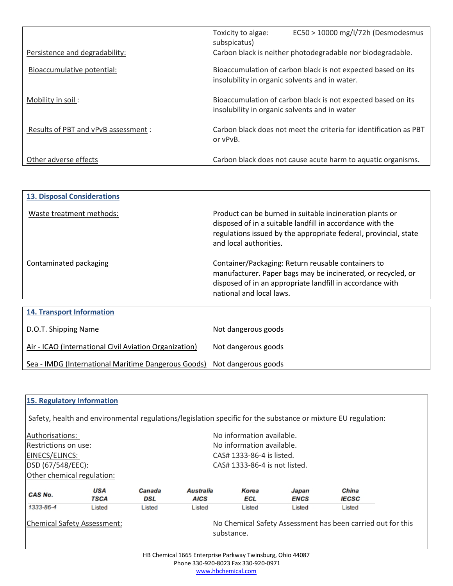|                                      | Toxicity to algae:<br>subspicatus)                                                                             | $EC50 > 10000$ mg/l/72h (Desmodesmus                         |
|--------------------------------------|----------------------------------------------------------------------------------------------------------------|--------------------------------------------------------------|
| Persistence and degradability:       | Carbon black is neither photodegradable nor biodegradable.                                                     |                                                              |
| Bioaccumulative potential:           | Bioaccumulation of carbon black is not expected based on its<br>insolubility in organic solvents and in water. |                                                              |
| Mobility in soil:                    | Bioaccumulation of carbon black is not expected based on its<br>insolubility in organic solvents and in water  |                                                              |
| Results of PBT and vPvB assessment : | Carbon black does not meet the criteria for identification as PBT<br>or vPvB.                                  |                                                              |
| Other adverse effects                |                                                                                                                | Carbon black does not cause acute harm to aquatic organisms. |

| <b>13. Disposal Considerations</b>                     |                                                                                                                                                                                                                     |
|--------------------------------------------------------|---------------------------------------------------------------------------------------------------------------------------------------------------------------------------------------------------------------------|
| Waste treatment methods:                               | Product can be burned in suitable incineration plants or<br>disposed of in a suitable landfill in accordance with the<br>regulations issued by the appropriate federal, provincial, state<br>and local authorities. |
| Contaminated packaging                                 | Container/Packaging: Return reusable containers to<br>manufacturer. Paper bags may be incinerated, or recycled, or<br>disposed of in an appropriate landfill in accordance with<br>national and local laws.         |
|                                                        |                                                                                                                                                                                                                     |
| <b>14. Transport Information</b>                       |                                                                                                                                                                                                                     |
| D.O.T. Shipping Name                                   | Not dangerous goods                                                                                                                                                                                                 |
| Air - ICAO (international Civil Aviation Organization) | Not dangerous goods                                                                                                                                                                                                 |
| Sea - IMDG (International Maritime Dangerous Goods)    | Not dangerous goods                                                                                                                                                                                                 |

| 15. Regulatory Information         |             |                                                                           |                                                           |                           |                      |                                                                                                               |  |  |
|------------------------------------|-------------|---------------------------------------------------------------------------|-----------------------------------------------------------|---------------------------|----------------------|---------------------------------------------------------------------------------------------------------------|--|--|
|                                    |             |                                                                           |                                                           |                           |                      | Safety, health and environmental regulations/legislation specific for the substance or mixture EU regulation: |  |  |
| Authorisations:                    |             |                                                                           | No information available.                                 |                           |                      |                                                                                                               |  |  |
| Restrictions on use:               |             |                                                                           |                                                           | No information available. |                      |                                                                                                               |  |  |
| EINECS/ELINCS:                     |             | CAS# 1333-86-4 is listed.                                                 |                                                           |                           |                      |                                                                                                               |  |  |
| DSD (67/548/EEC):                  |             | CAS# 1333-86-4 is not listed.                                             |                                                           |                           |                      |                                                                                                               |  |  |
| Other chemical regulation:         |             |                                                                           |                                                           |                           |                      |                                                                                                               |  |  |
| CAS No.                            | USA<br>TSCA | Canada<br>DSL                                                             | Australia<br>AICS                                         | Korea<br>ECL              | Japan<br><b>ENCS</b> | China<br><b>IECSC</b>                                                                                         |  |  |
| 1333-86-4                          | Listed      | Listed                                                                    | Listed                                                    | Listed                    | Listed               | Listed                                                                                                        |  |  |
| <b>Chemical Safety Assessment:</b> |             | No Chemical Safety Assessment has been carried out for this<br>substance. |                                                           |                           |                      |                                                                                                               |  |  |
|                                    |             |                                                                           | HB Chemical 1665 Enterprise Parkway Twinsburg, Ohio 44087 |                           |                      |                                                                                                               |  |  |

HB Chemical 1665 Enterprise Parkway Twinsburg, Ohio 44087 Phone 330-920-8023 Fax 330-920-0971 www.hbchemical.com